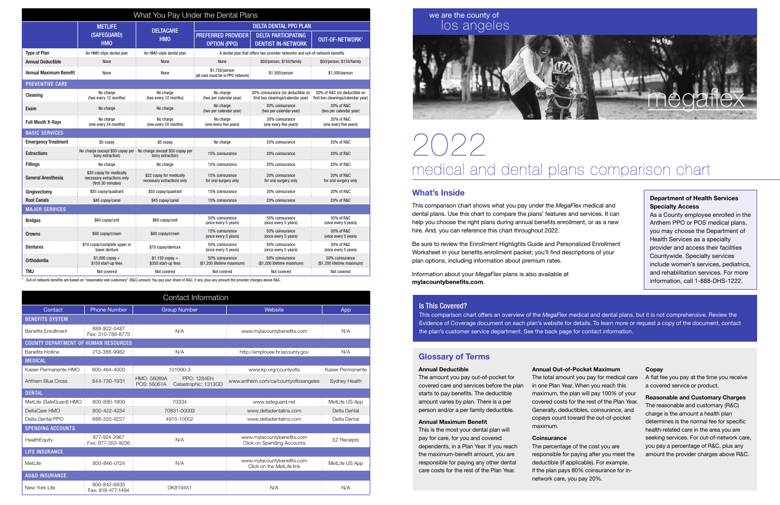| What You Pay Under the Dental Plans |                                                                              |                                                                                       |                                                                             |                                                                         |                                                                    |  |  |  |
|-------------------------------------|------------------------------------------------------------------------------|---------------------------------------------------------------------------------------|-----------------------------------------------------------------------------|-------------------------------------------------------------------------|--------------------------------------------------------------------|--|--|--|
|                                     | <b>METLIFE</b>                                                               |                                                                                       | <b>DELTA DENTAL PPO PLAN</b>                                                |                                                                         |                                                                    |  |  |  |
|                                     | (SAFEGUARD)<br><b>HMO</b>                                                    | <b>DELTACARE</b><br><b>HMO</b>                                                        | <b>PREFERRED PROVIDER</b><br><b>OPTION (PPO)</b>                            | <b>DELTA PARTICIPATING</b><br><b>DENTIST IN-NETWORK</b>                 | OUT-OF-NETWORK <sup>1</sup>                                        |  |  |  |
| <b>Type of Plan</b>                 | An HMO-style dental plan                                                     | An HMO-style dental plan                                                              | A dental plan that offers two provider networks and out-of-network benefits |                                                                         |                                                                    |  |  |  |
| <b>Annual Deductible</b>            | None                                                                         | None                                                                                  | None                                                                        | \$50/person; \$150/family                                               | \$50/person; \$150/family                                          |  |  |  |
| <b>Annual Maximum Benefit</b>       | None                                                                         | None                                                                                  | \$1,750/person<br>(all care must be in PPO network)                         | \$1,500/person                                                          | \$1.500/person                                                     |  |  |  |
| <b>PREVENTIVE CARE</b>              |                                                                              |                                                                                       |                                                                             |                                                                         |                                                                    |  |  |  |
| Cleaning                            | No charge<br>(two every 12 months)                                           | No charge<br>(two every 12 months)                                                    | No charge<br>(two per calendar year)                                        | 20% coinsurance (no deductible on<br>first two cleanings/calendar year) | 20% of R&C (no deductible on<br>first two cleanings/calendar year) |  |  |  |
| Exam                                | No charge                                                                    | No charge                                                                             | No charge<br>(two per calendar year)                                        | 20% coinsurance<br>(two per calendar year)                              | 20% of R&C<br>(two per calendar year)                              |  |  |  |
| <b>Full Mouth X-Rays</b>            | No charge<br>(one every 24 months)                                           | No charge<br>(one every 24 months)                                                    | No charge<br>(one every five years)                                         | 20% coinsurance<br>(one every five years)                               | 20% of R&C<br>(one every five years)                               |  |  |  |
| <b>BASIC SERVICES</b>               |                                                                              |                                                                                       |                                                                             |                                                                         |                                                                    |  |  |  |
| <b>Emergency Treatment</b>          | \$5 copay                                                                    | \$5 copay                                                                             | No charge                                                                   | 20% coinsurance                                                         | 20% of R&C                                                         |  |  |  |
| <b>Extractions</b>                  | bony extraction)                                                             | No charge (except \$50 copay per No charge (except \$50 copay per<br>bony extraction) | 15% coinsurance                                                             | 20% coinsurance                                                         | 20% of R&C                                                         |  |  |  |
| <b>Fillings</b>                     | No charge                                                                    | No charge                                                                             | 15% coinsurance                                                             | 20% coinsurance                                                         | 20% of R&C                                                         |  |  |  |
| General Anesthesia                  | \$30 copay for medically<br>necessary extractions only<br>(first 30 minutes) | \$22 copay for medically<br>necessary extractions only                                | 15% coinsurance<br>for oral surgery only                                    | 20% coinsurance<br>for oral surgery only                                | 20% of R&C<br>for oral surgery only                                |  |  |  |
| Gingivectomy                        | \$55 copay/quadrant                                                          | \$55 copay/quadrant                                                                   | 15% coinsurance                                                             | 20% coinsurance                                                         | 20% of R&C                                                         |  |  |  |
| <b>Root Canals</b>                  | \$45 copay/canal                                                             | \$45 copay/canal                                                                      | 15% coinsurance                                                             | 20% coinsurance                                                         | 20% of R&C                                                         |  |  |  |
| <b>MAJOR SERVICES</b>               |                                                                              |                                                                                       |                                                                             |                                                                         |                                                                    |  |  |  |
| <b>Bridges</b>                      | \$60 copay/unit                                                              | \$60 copay/unit                                                                       | 50% coinsurance<br>(once every 5 years)                                     | 50% coinsurance<br>(once every 5 years)                                 | 50% of R&C<br>(once every 5 years)                                 |  |  |  |
| Crowns                              | \$60 copay/crown                                                             | \$60 copay/crown                                                                      | 15% coinsurance<br>(once every 5 years)                                     | 50% coinsurance<br>(once every 5 years)                                 | 50% of R&C<br>(once every 5 years)                                 |  |  |  |
| <b>Dentures</b>                     | \$70 copay/complete upper or<br>lower denture                                | \$70 copay/denture                                                                    | 50% coinsurance<br>(once every 5 years)                                     | 50% coinsurance<br>(once every 5 years)                                 | 50% of R&C<br>(once every 5 years)                                 |  |  |  |
| Orthodontia                         | $$1,000$ copay +<br>\$150 start-up fees                                      | $$1,150$ copay +<br>\$350 start-up fees                                               | 50% coinsurance<br>(\$1,200 lifetime maximum)                               | 50% coinsurance<br>(\$1,200 lifetime maximum)                           | 50% coinsurance<br>(\$1,200 lifetime maximum)                      |  |  |  |
| TMJ                                 | Not covered                                                                  | Not covered                                                                           | Not covered                                                                 | Not covered                                                             | Not covered                                                        |  |  |  |

1 Out-of-network benefits are based on "reasonable and customary" (R&C) amount. You pay your share of R&C, if any, plus any amount the provider charges above R&C.

## What's Inside

This comparison chart shows what you pay under the *MegaFlex* medical and dental plans. Use this chart to compare the plans' features and services. It can help you choose the right plans during annual benefits enrollment, or as a new hire. And, you can reference this chart throughout 2022.

Be sure to review the Enrollment Highlights Guide and Personalized Enrollment Worksheet in your benefits enrollment packet; you'll find descriptions of your plan options, including information about premium rates.

Information about your *MegaFlex* plans is also available at mylacountybenefits.com.

# 2022 medical and dental plans comparison chart

# we are the county of los angeles



### Is This Covered?

This comparison chart offers an overview of the *MegaFlex* medical and dental plans, but it is not comprehensive. Review the Evidence of Coverage document on each plan's website for details. To learn more or request a copy of the document, contact the plan's customer service department. See the back page for contact information.

#### Department of Health Services Specialty Access

As a County employee enrolled in the Anthem PPO or POS medical plans, you may choose the Department of Health Services as a specialty provider and access their facilities Countywide. Specialty services include women's services, pediatrics, and rehabilitation services. For more information, call 1-888-DHS-1222.

| Contact Information                         |                                   |                            |                                            |                                                                 |                    |  |  |  |
|---------------------------------------------|-----------------------------------|----------------------------|--------------------------------------------|-----------------------------------------------------------------|--------------------|--|--|--|
| Contact                                     | <b>Phone Number</b>               | <b>Group Number</b>        |                                            | Website                                                         | App                |  |  |  |
| <b>BENEFITS SYSTEM</b>                      |                                   |                            |                                            |                                                                 |                    |  |  |  |
| <b>Benefits Enrollment</b>                  | 888-822-0487<br>Fax: 310-788-8775 | N/A                        |                                            | www.mylacountybenefits.com                                      | N/A                |  |  |  |
| <b>COUNTY DEPARTMENT OF HUMAN RESOURCES</b> |                                   |                            |                                            |                                                                 |                    |  |  |  |
| <b>Benefits Hotline</b>                     | 213-388-9982                      | N/A                        |                                            | http://employee.hr.lacounty.gov                                 | N/A                |  |  |  |
| <b>MEDICAL</b>                              |                                   |                            |                                            |                                                                 |                    |  |  |  |
| Kaiser Permanente HMO                       | 800-464-4000                      | 101000-3                   |                                            | www.kp.org/countyofla                                           | Kaiser Permanente  |  |  |  |
| Anthem Blue Cross                           | 844-730-1931                      | HMO: 56089A<br>POS: 56061A | <b>PPO: 1284EH</b><br>Catastrophic: 1313GD | www.anthem.com/ca/countyoflosangeles                            | Sydney Health      |  |  |  |
| <b>DENTAL</b>                               |                                   |                            |                                            |                                                                 |                    |  |  |  |
| MetLife (SafeGuard) HMO                     | 800-880-1800                      | 70334                      |                                            | www.safeguard.net                                               | MetLife US App     |  |  |  |
| DeltaCare HMO                               | 800-422-4234                      | 70831-00003                |                                            | www.deltadentalins.com                                          | Delta Dental       |  |  |  |
| Delta Dental PPO                            | 888-335-8227                      | 4915-10002                 |                                            | www.deltadentalins.com                                          | Delta Dental       |  |  |  |
| <b>SPENDING ACCOUNTS</b>                    |                                   |                            |                                            |                                                                 |                    |  |  |  |
| HealthEquity                                | 877-924-3967<br>Fax: 877-353-9236 | N/A                        |                                            | www.mylacountybenefits.com<br><b>Click on Spending Accounts</b> | <b>EZ Receipts</b> |  |  |  |
| <b>LIFE INSURANCE</b>                       |                                   |                            |                                            |                                                                 |                    |  |  |  |
| MetLife                                     | 800-846-0124                      | N/A                        |                                            | www.mylacountybenefits.com<br>Click on the MetLife link         | MetLife US App     |  |  |  |
| <b>AD&amp;D INSURANCE</b>                   |                                   |                            |                                            |                                                                 |                    |  |  |  |
| New York Life                               | 800-842-6635<br>Fax: 818-477-1494 | OK819451                   |                                            | N/A                                                             | N/A                |  |  |  |

## Glossary of Terms

#### Annual Deductible

The amount you pay out-of-pocket for covered care and services before the plan starts to pay benefits. The deductible amount varies by plan. There is a per person and/or a per family deductible.

#### Annual Maximum Benefit

This is the most your dental plan will pay for care, for you and covered dependents, in a Plan Year. If you reach the maximum-benefit amount, you are responsible for paying any other dental care costs for the rest of the Plan Year.

Annual Out-of-Pocket Maximum The total amount you pay for medical care in one Plan Year. When you reach this maximum, the plan will pay 100% of your covered costs for the rest of the Plan Year. Generally, deductibles, coinsurance, and copays count toward the out-of-pocket maximum.

#### **Coinsurance**

The percentage of the cost you are responsible for paying after you meet the deductible (if applicable). For example, if the plan pays 80% coinsurance for innetwork care, you pay 20%.

#### Copay

A flat fee you pay at the time you receive a covered service or product.

Reasonable and Customary Charges The reasonable and customary (R&C) charge is the amount a health plan determines is the normal fee for specific health-related care in the area you are seeking services. For out-of-network care, you pay a percentage of R&C, plus any amount the provider charges above R&C.